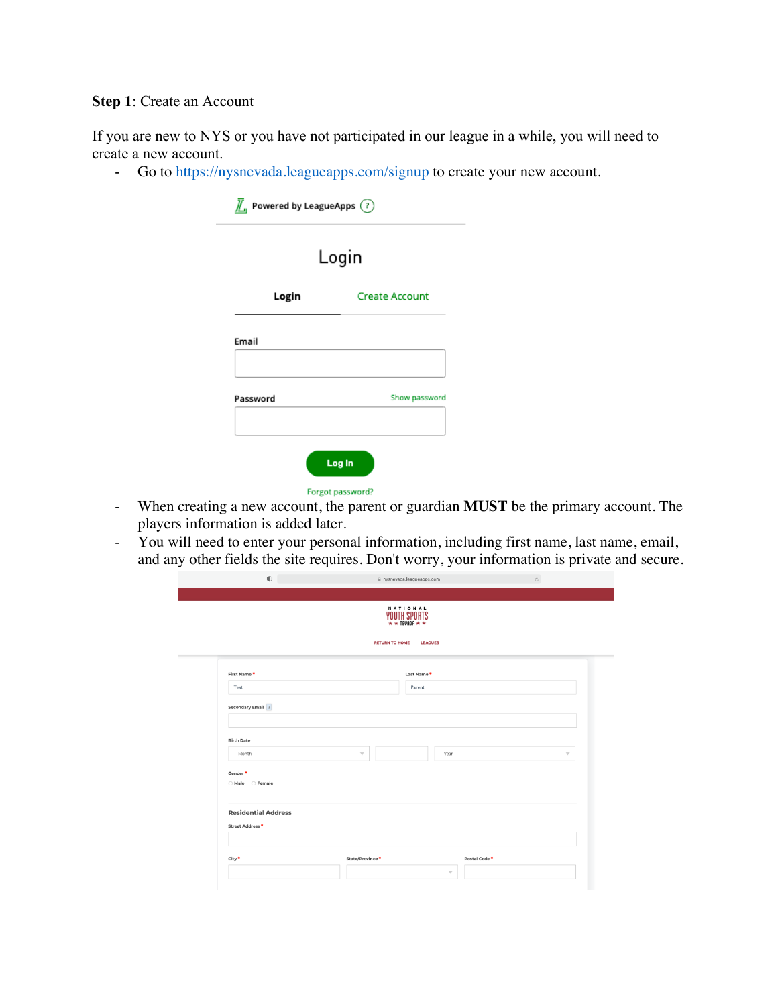## **Step 1**: Create an Account

If you are new to NYS or you have not participated in our league in a while, you will need to create a new account.

- Go to https://nysnevada.leagueapps.com/signup to create your new account.

| Login    |                       |  |
|----------|-----------------------|--|
| Login    | <b>Create Account</b> |  |
| Email    |                       |  |
| Password | Show password         |  |

- When creating a new account, the parent or guardian **MUST** be the primary account. The players information is added later.
- You will need to enter your personal information, including first name, last name, email, and any other fields the site requires. Don't worry, your information is private and secure.

|                             |                          | NATIONAL<br>YOUTH SPORTS |                     |
|-----------------------------|--------------------------|--------------------------|---------------------|
|                             |                          |                          |                     |
|                             | <b>RETURN TO HOME</b>    | <b>LEAGUES</b>           |                     |
| First Name*                 |                          | Last Name *              |                     |
| Test                        |                          | Parent                   |                     |
| <b>Secondary Email</b> ?    |                          |                          |                     |
|                             |                          |                          |                     |
| <b>Birth Date</b>           |                          |                          |                     |
| -- Month --                 | $\overline{\phantom{a}}$ | -- Year --               | $\overline{\nabla}$ |
| Gender <sup>*</sup>         |                          |                          |                     |
| ○ Male ○ Female             |                          |                          |                     |
|                             |                          |                          |                     |
| <b>Residential Address</b>  |                          |                          |                     |
| Street Address <sup>®</sup> |                          |                          |                     |
|                             |                          |                          |                     |
|                             | State/Province *         | Postal Code <sup>*</sup> |                     |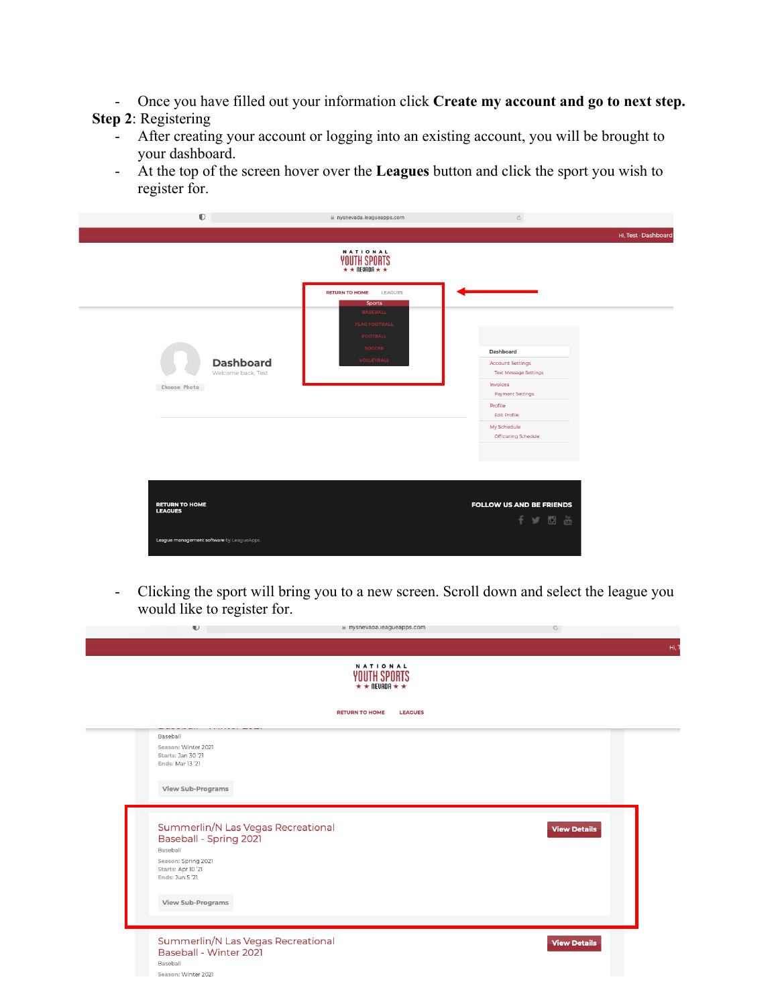- Once you have filled out your information click **Create my account and go to next step.**

# **Step 2**: Registering

- After creating your account or logging into an existing account, you will be brought to your dashboard.
- At the top of the screen hover over the **Leagues** button and click the sport you wish to register for.

|                                         | $\mathbb{O}$                              | ii nysnevada.leagueapps.com                                          | $_{\rm C}$                                 |                      |
|-----------------------------------------|-------------------------------------------|----------------------------------------------------------------------|--------------------------------------------|----------------------|
|                                         |                                           |                                                                      |                                            | Hi, Test - Dashboard |
|                                         |                                           | NATIONAL<br>YOUTH SPORTS                                             |                                            |                      |
|                                         |                                           | <b>RETURN TO HOME</b><br>LEAGUES<br><b>Sports</b><br><b>BASEBALL</b> |                                            |                      |
|                                         |                                           | <b>FLAG FOOTBALL</b><br><b>FOOTBALL</b>                              |                                            |                      |
|                                         |                                           | <b>SOCCER</b>                                                        | Dashboard                                  |                      |
|                                         | <b>Dashboard</b>                          | <b>VOLLEYBALL</b>                                                    | <b>Account Settings</b>                    |                      |
|                                         | Welcome back, Test                        |                                                                      | <b>Text Message Settings</b>               |                      |
| Choose Photo                            |                                           |                                                                      | Invoices<br><b>Payment Settings</b>        |                      |
|                                         |                                           |                                                                      | Profile<br><b>Edit Profile</b>             |                      |
|                                         |                                           |                                                                      | My Schedule<br><b>Officiating Schedule</b> |                      |
|                                         |                                           |                                                                      |                                            |                      |
|                                         |                                           |                                                                      |                                            |                      |
| <b>RETURN TO HOME</b><br><b>LEAGUES</b> |                                           |                                                                      | <b>FOLLOW US AND BE FRIENDS</b><br>f y o m |                      |
|                                         | League management software by LeagueApps. |                                                                      |                                            |                      |

- Clicking the sport will bring you to a new screen. Scroll down and select the league you would like to register for.

|                                                                                                                                                 | NATIONAL<br><b>YOUTH SPORTS</b><br>$\star \star \text{N}$ neuron $\star \star$ |                     |
|-------------------------------------------------------------------------------------------------------------------------------------------------|--------------------------------------------------------------------------------|---------------------|
|                                                                                                                                                 | <b>RETURN TO HOME</b><br><b>LEAGUES</b>                                        |                     |
| Baseball<br>Season: Winter 2021<br>Starts: Jan 30 '21<br>Ends: Mar 13 '21                                                                       |                                                                                |                     |
| View Sub-Programs                                                                                                                               |                                                                                |                     |
| Summerlin/N Las Vegas Recreational<br><b>Baseball - Spring 2021</b><br>Baseball<br>Season: Spring 2021<br>Starts: Apr 10 '21<br>Ends: Jun 5 '21 |                                                                                | <b>View Details</b> |
| View Sub-Programs                                                                                                                               |                                                                                |                     |
|                                                                                                                                                 | Summerlin/N Las Vegas Recreational                                             | <b>View Details</b> |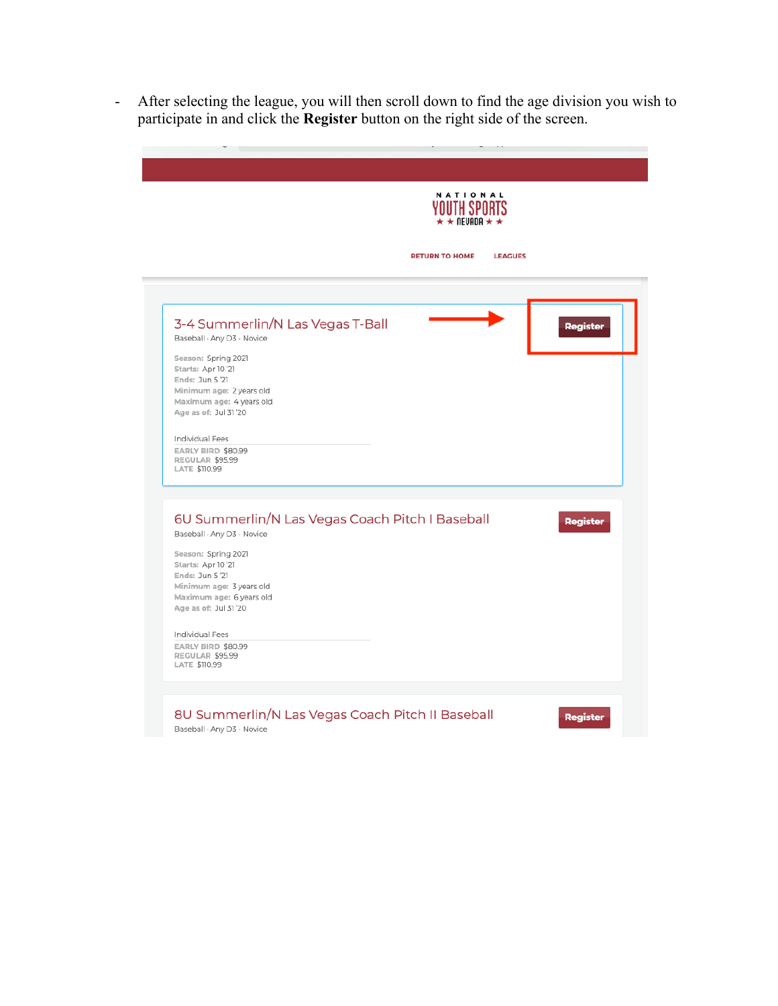- After selecting the league, you will then scroll down to find the age division you wish to participate in and click the **Register** button on the right side of the screen.

|                                                                                                                                              | <b>NATIONAL</b><br>$\star \star$ nevada $\star \star$ |
|----------------------------------------------------------------------------------------------------------------------------------------------|-------------------------------------------------------|
|                                                                                                                                              | <b>RETURN TO HOME</b><br><b>LEAGUES</b>               |
| 3-4 Summerlin/N Las Vegas T-Ball<br>Baseball · Any D3 - Novice<br>Season: Spring 2021<br>Starts: Apr 10 '21                                  | Register                                              |
| Ends: Jun 5 '21<br>Minimum age: 2 years old<br>Maximum age: 4 years old<br>Age as of: Jul 31'20                                              |                                                       |
| Individual Fees<br>EARLY BIRD \$80.99<br>REGULAR \$95.99<br>LATE \$110.99                                                                    |                                                       |
| 6U Summerlin/N Las Vegas Coach Pitch I Baseball<br>Baseball · Any D3 - Novice                                                                | <b>Register</b>                                       |
| Season: Spring 2021<br>Starts: Apr 10 '21<br>Ends: Jun 5 '21<br>Minimum age: 3 years old<br>Maximum age: 6 years old<br>Age as of: Jul 31'20 |                                                       |
| Individual Fees<br>EARLY BIRD \$80.99<br>REGULAR \$95.99<br>LATE \$110.99                                                                    |                                                       |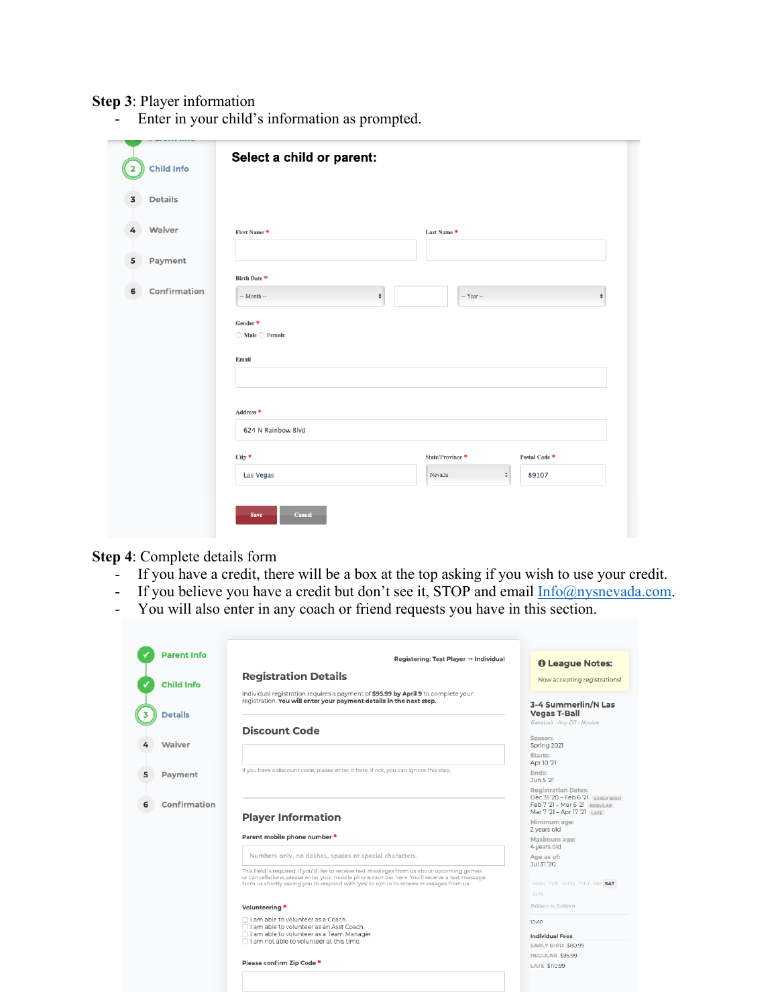## **Step 3**: Player information

- Enter in your child's information as prompted.

| Details<br>3      |                                                     |                                              |                    |
|-------------------|-----------------------------------------------------|----------------------------------------------|--------------------|
| Waiver<br>4       | First Name*                                         | Last Name *                                  |                    |
| Payment<br>5      |                                                     |                                              |                    |
|                   | Birth Date *                                        |                                              |                    |
| Confirmation<br>6 | $\overset{\mathtt{a}}{\mathtt{v}}$<br>$-$ Month $-$ | -- Year --                                   | $\hat{\mathbf{v}}$ |
|                   | Gender*                                             |                                              |                    |
|                   | $\bigcirc$ Male $\bigcirc$ Female                   |                                              |                    |
|                   | Email                                               |                                              |                    |
|                   | Address <sup>*</sup>                                |                                              |                    |
|                   | 624 N Rainbow Blvd                                  |                                              |                    |
|                   | City *                                              | State/Province *                             | Postal Code *      |
|                   |                                                     | $\overset{\mathtt{a}}{\mathtt{v}}$<br>Nevada | 89107              |

### **Step 4**: Complete details form

- If you have a credit, there will be a box at the top asking if you wish to use your credit.
- If you believe you have a credit but don't see it, STOP and email  $Info@nysnevada.com$ .
- You will also enter in any coach or friend requests you have in this section.

| <b>Parent Info</b> | Registering: Test Player $\rightarrow$ Individual                                                                                                                                                                                                                                     | <b>O</b> League Notes:                                          |
|--------------------|---------------------------------------------------------------------------------------------------------------------------------------------------------------------------------------------------------------------------------------------------------------------------------------|-----------------------------------------------------------------|
| <b>Child Info</b>  | <b>Registration Details</b>                                                                                                                                                                                                                                                           | Now accepting registrations!                                    |
|                    | Individual registration requires a payment of \$95.99 by April 9 to complete your<br>registration. You will enter your payment details in the next step.                                                                                                                              | 3-4 Summerlin/N Las                                             |
| <b>Details</b>     | <b>Discount Code</b>                                                                                                                                                                                                                                                                  | <b>Vegas T-Ball</b><br>Baseball - Any D3 - Novice               |
| Waiver             |                                                                                                                                                                                                                                                                                       | Season:<br>Spring 2021                                          |
|                    |                                                                                                                                                                                                                                                                                       | Starts:<br>Apr 10 '21                                           |
| Payment            | If you have a discount code, please enter it here. If not, you can ignore this step.                                                                                                                                                                                                  | Ends:<br>Jun 5 '21                                              |
|                    |                                                                                                                                                                                                                                                                                       | <b>Registration Dates:</b><br>Dec 31 '20 - Feb 6 '2] FABLY BIRD |
| Confirmation       |                                                                                                                                                                                                                                                                                       | $Feb 7'21 - Mar 6'21$ $PRECULAP$<br>Mar 7 '21 - Apr 17 '21 LATE |
|                    | <b>Player Information</b>                                                                                                                                                                                                                                                             | Minimum age:<br>2 years old                                     |
|                    | Parent mobile phone number *                                                                                                                                                                                                                                                          | Maximum age:<br>4 years old                                     |
|                    | Numbers only, no dashes, spaces or special characters.                                                                                                                                                                                                                                | Age as of:<br>Jul 31 '20                                        |
|                    | This field is required. If you'd like to receive text messages from us about upcoming games<br>or cancellations, please enter your mobile phone number here. You'll receive a text message<br>from us shortly asking you to respond with 'yes' to opt-in to receive messages from us. | MON TUE WED THU FRI SAT                                         |
|                    |                                                                                                                                                                                                                                                                                       | <b>SUN</b>                                                      |
|                    | Volunteering *                                                                                                                                                                                                                                                                        | 8:00am to 5:00pm                                                |
|                    | □ I am able to volunteer as a Coach.<br>I am able to volunteer as an Asst Coach.                                                                                                                                                                                                      | 10v10                                                           |
|                    | □ I am able to volunteer as a Team Manager.<br>$\Box$ I am not able to volunteer at this time.                                                                                                                                                                                        | <b>Individual Fees</b><br>EARLY BIRD \$80.99                    |
|                    |                                                                                                                                                                                                                                                                                       | REGULAR \$95.99                                                 |
|                    | Please confirm Zip Code *                                                                                                                                                                                                                                                             | LATE \$110.99                                                   |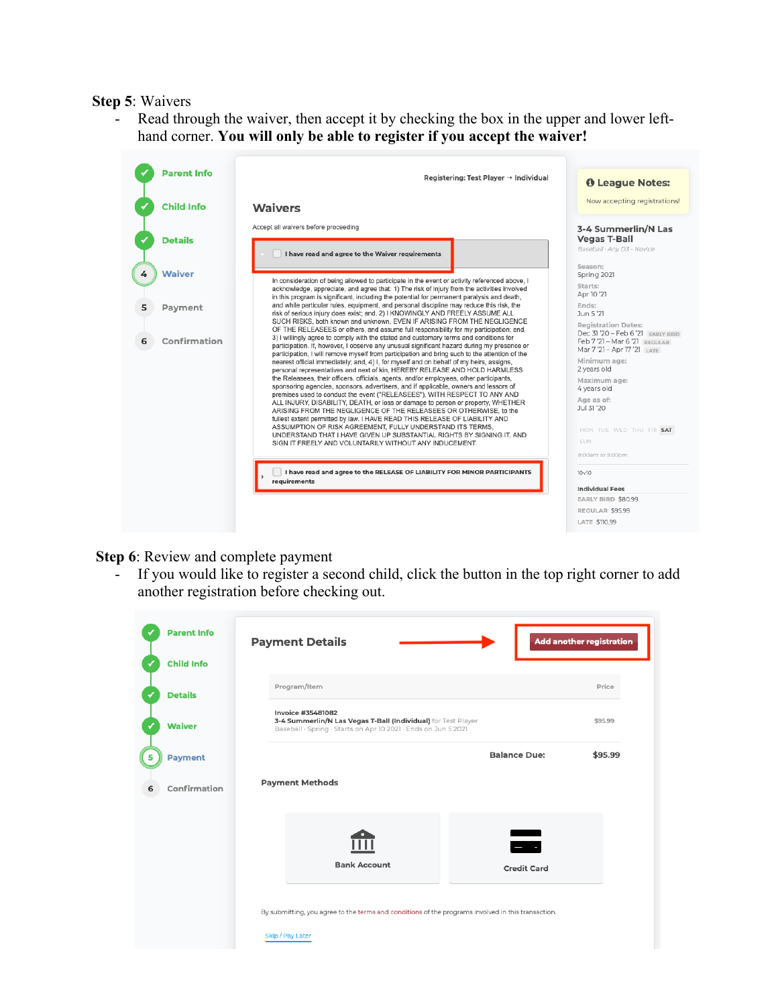#### **Step 5**: Waivers

Read through the waiver, then accept it by checking the box in the upper and lower lefthand corner. **You will only be able to register if you accept the waiver!**



**Step 6**: Review and complete payment

If you would like to register a second child, click the button in the top right corner to add another registration before checking out.

|   | <b>Parent Info</b> | <b>Payment Details</b>                                                                                                                                      | Add another registration |
|---|--------------------|-------------------------------------------------------------------------------------------------------------------------------------------------------------|--------------------------|
|   | <b>Child Info</b>  |                                                                                                                                                             |                          |
|   | <b>Details</b>     | Program/Item                                                                                                                                                | Price                    |
|   | <b>Waiver</b>      | <b>Invoice #35481082</b><br>3-4 Summerlin/N Las Vegas T-Ball (Individual) for Test Player<br>Baseball · Spring · Starts on Apr 10 2021 · Ends on Jun 5 2021 | \$95.99                  |
| 5 | <b>Payment</b>     | <b>Balance Due:</b>                                                                                                                                         | \$95.99                  |
|   | Confirmation       | <b>Payment Methods</b>                                                                                                                                      |                          |
|   |                    | $\blacksquare$<br><b>Bank Account</b>                                                                                                                       |                          |
|   |                    | <b>Credit Card</b>                                                                                                                                          |                          |
|   |                    | By submitting, you agree to the terms and conditions of the programs involved in this transaction.<br>Skip / Pay Later                                      |                          |